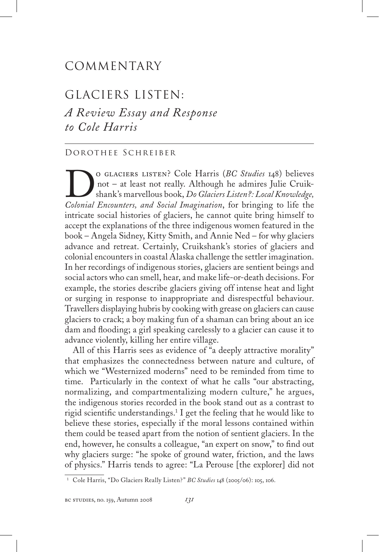## COMMENTARY

## GLACIERS LISTEN:

*A Review Essay and Response to Cole Harris*

## Dorothee Schreiber

O GLACIERS LISTEN? Cole Harris (*BC Studies* 148) believes<br>not – at least not really. Although he admires Julie Cruik-<br>shank's marvellous book, *Do Glaciers Listen?*: *Local Knowledge*,<br>Colonial Encounters and Social Imagi not – at least not really. Although he admires Julie Cruikshank's marvellous book, *Do Glaciers Listen?: Local Knowledge, Colonial Encounters, and Social Imagination*, for bringing to life the intricate social histories of glaciers, he cannot quite bring himself to accept the explanations of the three indigenous women featured in the book – Angela Sidney, Kitty Smith, and Annie Ned – for why glaciers advance and retreat. Certainly, Cruikshank's stories of glaciers and colonial encounters in coastal Alaska challenge the settler imagination. In her recordings of indigenous stories, glaciers are sentient beings and social actors who can smell, hear, and make life-or-death decisions. For example, the stories describe glaciers giving off intense heat and light or surging in response to inappropriate and disrespectful behaviour. Travellers displaying hubris by cooking with grease on glaciers can cause glaciers to crack; a boy making fun of a shaman can bring about an ice dam and flooding; a girl speaking carelessly to a glacier can cause it to advance violently, killing her entire village.

All of this Harris sees as evidence of "a deeply attractive morality" that emphasizes the connectedness between nature and culture, of which we "Westernized moderns" need to be reminded from time to time. Particularly in the context of what he calls "our abstracting, normalizing, and compartmentalizing modern culture," he argues, the indigenous stories recorded in the book stand out as a contrast to rigid scientific understandings.1 I get the feeling that he would like to believe these stories, especially if the moral lessons contained within them could be teased apart from the notion of sentient glaciers. In the end, however, he consults a colleague, "an expert on snow," to find out why glaciers surge: "he spoke of ground water, friction, and the laws of physics." Harris tends to agree: "La Perouse [the explorer] did not

<sup>1</sup> Cole Harris, "Do Glaciers Really Listen?" *BC Studies* 148 (2005/06): 105, 106.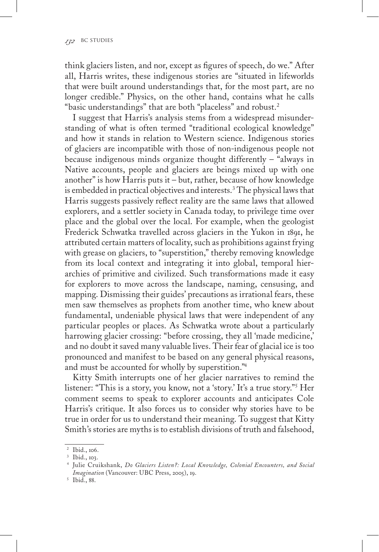think glaciers listen, and nor, except as figures of speech, do we." After all, Harris writes, these indigenous stories are "situated in lifeworlds that were built around understandings that, for the most part, are no longer credible." Physics, on the other hand, contains what he calls "basic understandings" that are both "placeless" and robust.<sup>2</sup>

I suggest that Harris's analysis stems from a widespread misunderstanding of what is often termed "traditional ecological knowledge" and how it stands in relation to Western science. Indigenous stories of glaciers are incompatible with those of non-indigenous people not because indigenous minds organize thought differently – "always in Native accounts, people and glaciers are beings mixed up with one another" is how Harris puts it – but, rather, because of how knowledge is embedded in practical objectives and interests.<sup>3</sup> The physical laws that Harris suggests passively reflect reality are the same laws that allowed explorers, and a settler society in Canada today, to privilege time over place and the global over the local. For example, when the geologist Frederick Schwatka travelled across glaciers in the Yukon in 1891, he attributed certain matters of locality, such as prohibitions against frying with grease on glaciers, to "superstition," thereby removing knowledge from its local context and integrating it into global, temporal hierarchies of primitive and civilized. Such transformations made it easy for explorers to move across the landscape, naming, censusing, and mapping. Dismissing their guides' precautions as irrational fears, these men saw themselves as prophets from another time, who knew about fundamental, undeniable physical laws that were independent of any particular peoples or places. As Schwatka wrote about a particularly harrowing glacier crossing: "before crossing, they all 'made medicine,' and no doubt it saved many valuable lives. Their fear of glacial ice is too pronounced and manifest to be based on any general physical reasons, and must be accounted for wholly by superstition."4

Kitty Smith interrupts one of her glacier narratives to remind the listener: "This is a story, you know, not a 'story.' It's a true story."5 Her comment seems to speak to explorer accounts and anticipates Cole Harris's critique. It also forces us to consider why stories have to be true in order for us to understand their meaning. To suggest that Kitty Smith's stories are myths is to establish divisions of truth and falsehood,

<sup>&</sup>lt;sup>2</sup> Ibid., 106.<br><sup>3</sup> Ibid., 103.

<sup>4</sup> Julie Cruikshank, *Do Glaciers Listen?: Local Knowledge, Colonial Encounters, and Social Imagination* (Vancouver: UBC Press, 2005), 19.

<sup>5</sup> Ibid., 88.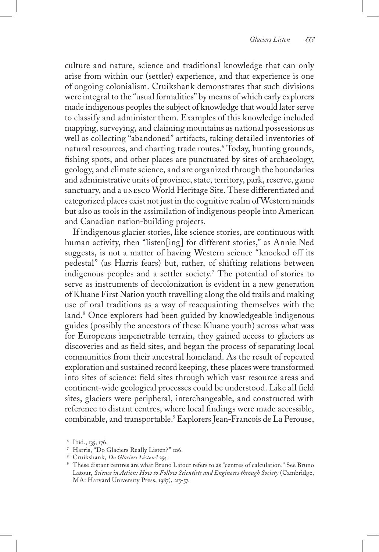culture and nature, science and traditional knowledge that can only arise from within our (settler) experience, and that experience is one of ongoing colonialism. Cruikshank demonstrates that such divisions were integral to the "usual formalities" by means of which early explorers made indigenous peoples the subject of knowledge that would later serve to classify and administer them. Examples of this knowledge included mapping, surveying, and claiming mountains as national possessions as well as collecting "abandoned" artifacts, taking detailed inventories of natural resources, and charting trade routes.6 Today, hunting grounds, fishing spots, and other places are punctuated by sites of archaeology, geology, and climate science, and are organized through the boundaries and administrative units of province, state, territory, park, reserve, game sanctuary, and a unesco World Heritage Site. These differentiated and categorized places exist not just in the cognitive realm of Western minds but also as tools in the assimilation of indigenous people into American and Canadian nation-building projects.

If indigenous glacier stories, like science stories, are continuous with human activity, then "listen[ing] for different stories," as Annie Ned suggests, is not a matter of having Western science "knocked off its pedestal" (as Harris fears) but, rather, of shifting relations between indigenous peoples and a settler society.7 The potential of stories to serve as instruments of decolonization is evident in a new generation of Kluane First Nation youth travelling along the old trails and making use of oral traditions as a way of reacquainting themselves with the land.<sup>8</sup> Once explorers had been guided by knowledgeable indigenous guides (possibly the ancestors of these Kluane youth) across what was for Europeans impenetrable terrain, they gained access to glaciers as discoveries and as field sites, and began the process of separating local communities from their ancestral homeland. As the result of repeated exploration and sustained record keeping, these places were transformed into sites of science: field sites through which vast resource areas and continent-wide geological processes could be understood. Like all field sites, glaciers were peripheral, interchangeable, and constructed with reference to distant centres, where local findings were made accessible, combinable, and transportable.9 Explorers Jean-Francois de La Perouse,

<sup>6</sup> Ibid., 135, 176.

<sup>7</sup> Harris, "Do Glaciers Really Listen?" 106.

<sup>8</sup> Cruikshank, *Do Glaciers Listen?* 254.

<sup>9</sup> These distant centres are what Bruno Latour refers to as "centres of calculation." See Bruno Latour, *Science in Action: How to Follow Scientists and Engineers through Society* (Cambridge, MA: Harvard University Press, 1987), 215-57.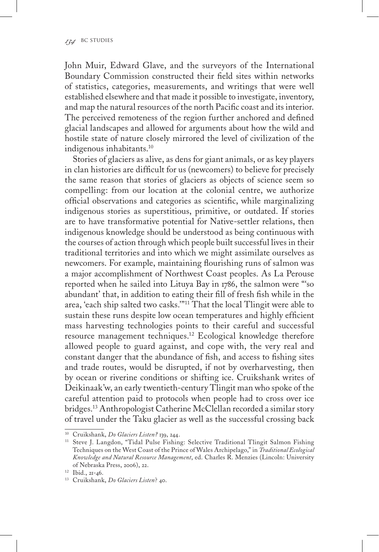John Muir, Edward Glave, and the surveyors of the International Boundary Commission constructed their field sites within networks of statistics, categories, measurements, and writings that were well established elsewhere and that made it possible to investigate, inventory, and map the natural resources of the north Pacific coast and its interior. The perceived remoteness of the region further anchored and defined glacial landscapes and allowed for arguments about how the wild and hostile state of nature closely mirrored the level of civilization of the indigenous inhabitants.10

Stories of glaciers as alive, as dens for giant animals, or as key players in clan histories are difficult for us (newcomers) to believe for precisely the same reason that stories of glaciers as objects of science seem so compelling: from our location at the colonial centre, we authorize official observations and categories as scientific, while marginalizing indigenous stories as superstitious, primitive, or outdated. If stories are to have transformative potential for Native-settler relations, then indigenous knowledge should be understood as being continuous with the courses of action through which people built successful lives in their traditional territories and into which we might assimilate ourselves as newcomers. For example, maintaining flourishing runs of salmon was a major accomplishment of Northwest Coast peoples. As La Perouse reported when he sailed into Lituya Bay in 1786, the salmon were "'so abundant' that, in addition to eating their fill of fresh fish while in the area, 'each ship salted two casks.'"11 That the local Tlingit were able to sustain these runs despite low ocean temperatures and highly efficient mass harvesting technologies points to their careful and successful resource management techniques.12 Ecological knowledge therefore allowed people to guard against, and cope with, the very real and constant danger that the abundance of fish, and access to fishing sites and trade routes, would be disrupted, if not by overharvesting, then by ocean or riverine conditions or shifting ice. Cruikshank writes of Deikinaak'w, an early twentieth-century Tlingit man who spoke of the careful attention paid to protocols when people had to cross over ice bridges.13 Anthropologist Catherine McClellan recorded a similar story of travel under the Taku glacier as well as the successful crossing back

<sup>10</sup> Cruikshank, *Do Glaciers Listen?* 139, 244.

<sup>&</sup>lt;sup>11</sup> Steve J. Langdon, "Tidal Pulse Fishing: Selective Traditional Tlingit Salmon Fishing Techniques on the West Coast of the Prince of Wales Archipelago," in *Traditional Ecological Knowledge and Natural Resource Management*, ed. Charles R. Menzies (Lincoln: University of Nebraska Press, 2006), 22.

<sup>12</sup> Ibid., 21-46.

<sup>13</sup> Cruikshank, *Do Glaciers Listen*? 40.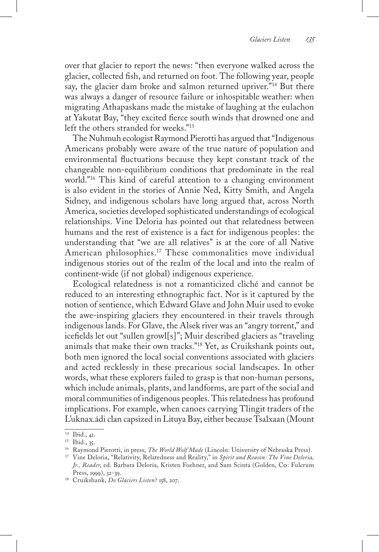over that glacier to report the news: "then everyone walked across the glacier, collected fish, and returned on foot. The following year, people say, the glacier dam broke and salmon returned upriver."<sup>14</sup> But there was always a danger of resource failure or inhospitable weather: when migrating Athapaskans made the mistake of laughing at the eulachon at Yakutat Bay, "they excited fierce south winds that drowned one and left the others stranded for weeks."15

The Nuhmuh ecologist Raymond Pierotti has argued that "Indigenous Americans probably were aware of the true nature of population and environmental fluctuations because they kept constant track of the changeable non-equilibrium conditions that predominate in the real world."16 This kind of careful attention to a changing environment is also evident in the stories of Annie Ned, Kitty Smith, and Angela Sidney, and indigenous scholars have long argued that, across North America, societies developed sophisticated understandings of ecological relationships. Vine Deloria has pointed out that relatedness between humans and the rest of existence is a fact for indigenous peoples: the understanding that "we are all relatives" is at the core of all Native American philosophies.17 These commonalities move individual indigenous stories out of the realm of the local and into the realm of continent-wide (if not global) indigenous experience.

Ecological relatedness is not a romanticized cliché and cannot be reduced to an interesting ethnographic fact. Nor is it captured by the notion of sentience, which Edward Glave and John Muir used to evoke the awe-inspiring glaciers they encountered in their travels through indigenous lands. For Glave, the Alsek river was an "angry torrent," and icefields let out "sullen growl[s]"; Muir described glaciers as "traveling animals that make their own tracks."18 Yet, as Cruikshank points out, both men ignored the local social conventions associated with glaciers and acted recklessly in these precarious social landscapes. In other words, what these explorers failed to grasp is that non-human persons, which include animals, plants, and landforms, are part of the social and moral communities of indigenous peoples. This relatedness has profound implications. For example, when canoes carrying Tlingit traders of the L'uknax.ádi clan capsized in Lituya Bay, either because Tsalxaan (Mount

<sup>14</sup> Ibid., 41.

<sup>&</sup>lt;sup>15</sup> Ibid., 35.<br><sup>16</sup> Raymond Pierotti, in press, *The World Wolf Made* (Lincoln: University of Nebraska Press).

<sup>&</sup>lt;sup>17</sup> Vine Deloria, "Relativity, Relatedness and Reality," in *Spirit and Reason: The Vine Deloria*, *Jr., Reader*, ed. Barbara Deloria, Kristen Foehner, and Sam Scinta (Golden, Co: Fulcrum Press, 1999), 32-39.

<sup>18</sup> Cruikshank, *Do Glaciers Listen*? 158, 207.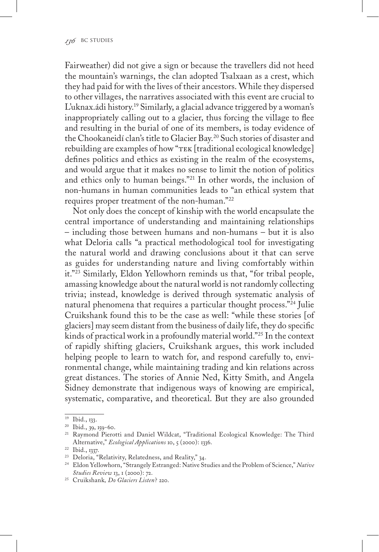Fairweather) did not give a sign or because the travellers did not heed the mountain's warnings, the clan adopted Tsalxaan as a crest, which they had paid for with the lives of their ancestors. While they dispersed to other villages, the narratives associated with this event are crucial to L'uknax.ádi history.19 Similarly, a glacial advance triggered by a woman's inappropriately calling out to a glacier, thus forcing the village to flee and resulting in the burial of one of its members, is today evidence of the Chookaneidí clan's title to Glacier Bay.<sup>20</sup> Such stories of disaster and rebuilding are examples of how "TEK [traditional ecological knowledge] defines politics and ethics as existing in the realm of the ecosystems, and would argue that it makes no sense to limit the notion of politics and ethics only to human beings."21 In other words, the inclusion of non-humans in human communities leads to "an ethical system that requires proper treatment of the non-human."22

Not only does the concept of kinship with the world encapsulate the central importance of understanding and maintaining relationships – including those between humans and non-humans – but it is also what Deloria calls "a practical methodological tool for investigating the natural world and drawing conclusions about it that can serve as guides for understanding nature and living comfortably within it."23 Similarly, Eldon Yellowhorn reminds us that, "for tribal people, amassing knowledge about the natural world is not randomly collecting trivia; instead, knowledge is derived through systematic analysis of natural phenomena that requires a particular thought process."24 Julie Cruikshank found this to be the case as well: "while these stories [of glaciers] may seem distant from the business of daily life, they do specific kinds of practical work in a profoundly material world."25 In the context of rapidly shifting glaciers, Cruikshank argues, this work included helping people to learn to watch for, and respond carefully to, environmental change, while maintaining trading and kin relations across great distances. The stories of Annie Ned, Kitty Smith, and Angela Sidney demonstrate that indigenous ways of knowing are empirical, systematic, comparative, and theoretical. But they are also grounded

<sup>19</sup> Ibid., 133.

<sup>20</sup> Ibid., 39, 159-60.

<sup>21</sup> Raymond Pierotti and Daniel Wildcat, "Traditional Ecological Knowledge: The Third Alternative," *Ecological Applications* 10, 5 (2000): 1336.

<sup>22</sup> Ibid., 1337.

<sup>23</sup> Deloria, "Relativity, Relatedness, and Reality," 34.

<sup>24</sup> Eldon Yellowhorn, "Strangely Estranged: Native Studies and the Problem of Science," *Native Studies Review* 13, 1 (2000): 72.

<sup>25</sup> Cruikshank*, Do Glaciers Listen*? 220.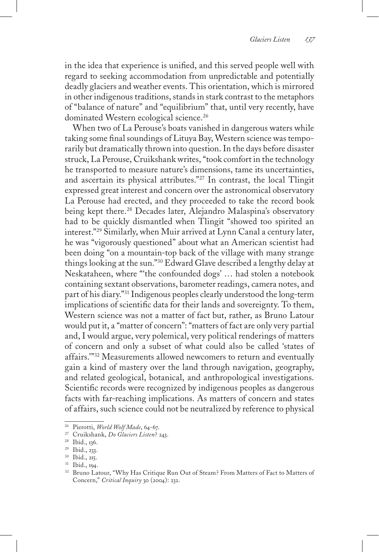in the idea that experience is unified, and this served people well with regard to seeking accommodation from unpredictable and potentially deadly glaciers and weather events. This orientation, which is mirrored in other indigenous traditions, stands in stark contrast to the metaphors of "balance of nature" and "equilibrium" that, until very recently, have dominated Western ecological science.<sup>26</sup>

When two of La Perouse's boats vanished in dangerous waters while taking some final soundings of Lituya Bay, Western science was temporarily but dramatically thrown into question. In the days before disaster struck, La Perouse, Cruikshank writes, "took comfort in the technology he transported to measure nature's dimensions, tame its uncertainties, and ascertain its physical attributes."27 In contrast, the local Tlingit expressed great interest and concern over the astronomical observatory La Perouse had erected, and they proceeded to take the record book being kept there.<sup>28</sup> Decades later, Alejandro Malaspina's observatory had to be quickly dismantled when Tlingit "showed too spirited an interest."29 Similarly, when Muir arrived at Lynn Canal a century later, he was "vigorously questioned" about what an American scientist had been doing "on a mountain-top back of the village with many strange things looking at the sun."30 Edward Glave described a lengthy delay at Neskataheen, where "'the confounded dogs' … had stolen a notebook containing sextant observations, barometer readings, camera notes, and part of his diary."31 Indigenous peoples clearly understood the long-term implications of scientific data for their lands and sovereignty. To them, Western science was not a matter of fact but, rather, as Bruno Latour would put it, a "matter of concern": "matters of fact are only very partial and, I would argue, very polemical, very political renderings of matters of concern and only a subset of what could also be called 'states of affairs.'"32 Measurements allowed newcomers to return and eventually gain a kind of mastery over the land through navigation, geography, and related geological, botanical, and anthropological investigations. Scientific records were recognized by indigenous peoples as dangerous facts with far-reaching implications. As matters of concern and states of affairs, such science could not be neutralized by reference to physical

<sup>26</sup> Pierotti, *World Wolf Made*, 64-67.

<sup>27</sup> Cruikshank, *Do Glaciers Listen*? 243.

<sup>28</sup> Ibid., 136.

<sup>29</sup> Ibid., 233.

<sup>30</sup> Ibid., 215.

<sup>31</sup> Ibid., 194.

<sup>32</sup> Bruno Latour, "Why Has Critique Run Out of Steam? From Matters of Fact to Matters of Concern," *Critical Inquiry* 30 (2004): 232.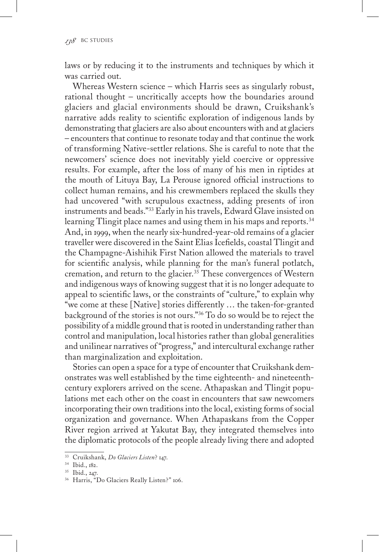laws or by reducing it to the instruments and techniques by which it was carried out.

Whereas Western science – which Harris sees as singularly robust, rational thought – uncritically accepts how the boundaries around glaciers and glacial environments should be drawn, Cruikshank's narrative adds reality to scientific exploration of indigenous lands by demonstrating that glaciers are also about encounters with and at glaciers – encounters that continue to resonate today and that continue the work of transforming Native-settler relations. She is careful to note that the newcomers' science does not inevitably yield coercive or oppressive results. For example, after the loss of many of his men in riptides at the mouth of Lituya Bay, La Perouse ignored official instructions to collect human remains, and his crewmembers replaced the skulls they had uncovered "with scrupulous exactness, adding presents of iron instruments and beads."33 Early in his travels, Edward Glave insisted on learning Tlingit place names and using them in his maps and reports.<sup>34</sup> And, in 1999, when the nearly six-hundred-year-old remains of a glacier traveller were discovered in the Saint Elias Icefields, coastal Tlingit and the Champagne-Aishihik First Nation allowed the materials to travel for scientific analysis, while planning for the man's funeral potlatch, cremation, and return to the glacier.<sup>35</sup> These convergences of Western and indigenous ways of knowing suggest that it is no longer adequate to appeal to scientific laws, or the constraints of "culture," to explain why "we come at these [Native] stories differently … the taken-for-granted background of the stories is not ours."36 To do so would be to reject the possibility of a middle ground that is rooted in understanding rather than control and manipulation, local histories rather than global generalities and unilinear narratives of "progress," and intercultural exchange rather than marginalization and exploitation.

Stories can open a space for a type of encounter that Cruikshank demonstrates was well established by the time eighteenth- and nineteenthcentury explorers arrived on the scene. Athapaskan and Tlingit populations met each other on the coast in encounters that saw newcomers incorporating their own traditions into the local, existing forms of social organization and governance. When Athapaskans from the Copper River region arrived at Yakutat Bay, they integrated themselves into the diplomatic protocols of the people already living there and adopted

<sup>33</sup> Cruikshank, *Do Glaciers Listen*? 147.

<sup>34</sup> Ibid., 182.

<sup>35</sup> Ibid., 247.

<sup>36</sup> Harris, "Do Glaciers Really Listen?" 106.